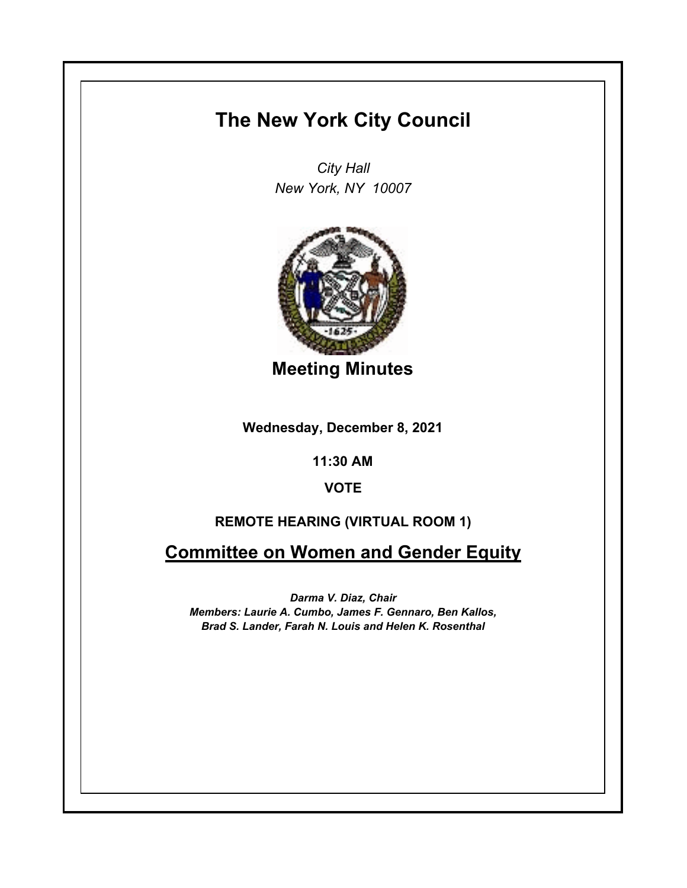# **The New York City Council**

*City Hall New York, NY 10007*



**Meeting Minutes**

**Wednesday, December 8, 2021**

**11:30 AM**

**VOTE**

## **REMOTE HEARING (VIRTUAL ROOM 1)**

**Committee on Women and Gender Equity**

*Darma V. Diaz, Chair Members: Laurie A. Cumbo, James F. Gennaro, Ben Kallos, Brad S. Lander, Farah N. Louis and Helen K. Rosenthal*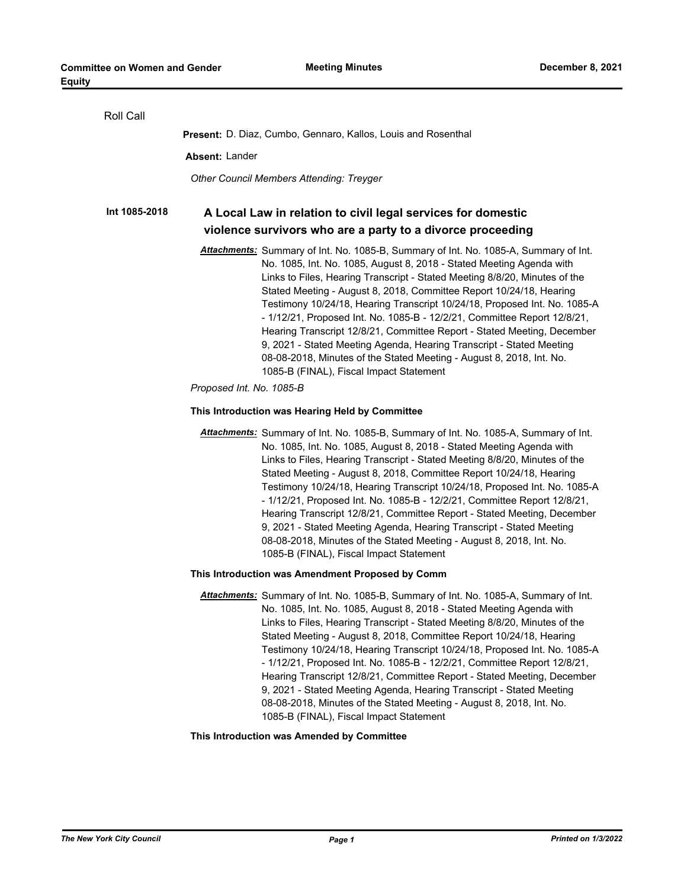| Roll Call     |                                                                                                                                                                                                                                                                                                                                                                                                                                                                                                                                                                                                                                                                                                                                                  |
|---------------|--------------------------------------------------------------------------------------------------------------------------------------------------------------------------------------------------------------------------------------------------------------------------------------------------------------------------------------------------------------------------------------------------------------------------------------------------------------------------------------------------------------------------------------------------------------------------------------------------------------------------------------------------------------------------------------------------------------------------------------------------|
|               | <b>Present:</b> D. Diaz, Cumbo, Gennaro, Kallos, Louis and Rosenthal                                                                                                                                                                                                                                                                                                                                                                                                                                                                                                                                                                                                                                                                             |
|               | Absent: Lander                                                                                                                                                                                                                                                                                                                                                                                                                                                                                                                                                                                                                                                                                                                                   |
|               | <b>Other Council Members Attending: Treyger</b>                                                                                                                                                                                                                                                                                                                                                                                                                                                                                                                                                                                                                                                                                                  |
| Int 1085-2018 | A Local Law in relation to civil legal services for domestic<br>violence survivors who are a party to a divorce proceeding                                                                                                                                                                                                                                                                                                                                                                                                                                                                                                                                                                                                                       |
|               |                                                                                                                                                                                                                                                                                                                                                                                                                                                                                                                                                                                                                                                                                                                                                  |
|               | Attachments: Summary of Int. No. 1085-B, Summary of Int. No. 1085-A, Summary of Int.<br>No. 1085, Int. No. 1085, August 8, 2018 - Stated Meeting Agenda with<br>Links to Files, Hearing Transcript - Stated Meeting 8/8/20, Minutes of the<br>Stated Meeting - August 8, 2018, Committee Report 10/24/18, Hearing<br>Testimony 10/24/18, Hearing Transcript 10/24/18, Proposed Int. No. 1085-A<br>- 1/12/21, Proposed Int. No. 1085-B - 12/2/21, Committee Report 12/8/21,<br>Hearing Transcript 12/8/21, Committee Report - Stated Meeting, December<br>9, 2021 - Stated Meeting Agenda, Hearing Transcript - Stated Meeting<br>08-08-2018, Minutes of the Stated Meeting - August 8, 2018, Int. No.<br>1085-B (FINAL), Fiscal Impact Statement |
|               | Proposed Int. No. 1085-B                                                                                                                                                                                                                                                                                                                                                                                                                                                                                                                                                                                                                                                                                                                         |
|               | This Introduction was Hearing Held by Committee                                                                                                                                                                                                                                                                                                                                                                                                                                                                                                                                                                                                                                                                                                  |
|               | Attachments: Summary of Int. No. 1085-B, Summary of Int. No. 1085-A, Summary of Int.<br>No. 1085, Int. No. 1085, August 8, 2018 - Stated Meeting Agenda with<br>Links to Files, Hearing Transcript - Stated Meeting 8/8/20, Minutes of the<br>Stated Meeting - August 8, 2018, Committee Report 10/24/18, Hearing<br>Testimony 10/24/18, Hearing Transcript 10/24/18, Proposed Int. No. 1085-A<br>- 1/12/21, Proposed Int. No. 1085-B - 12/2/21, Committee Report 12/8/21,<br>Hearing Transcript 12/8/21, Committee Report - Stated Meeting, December<br>9, 2021 - Stated Meeting Agenda, Hearing Transcript - Stated Meeting<br>08-08-2018, Minutes of the Stated Meeting - August 8, 2018, Int. No.<br>1085-B (FINAL), Fiscal Impact Statement |
|               | This Introduction was Amendment Proposed by Comm                                                                                                                                                                                                                                                                                                                                                                                                                                                                                                                                                                                                                                                                                                 |
|               | Attachments: Summary of Int. No. 1085-B, Summary of Int. No. 1085-A, Summary of Int.<br>No. 1085, Int. No. 1085, August 8, 2018 - Stated Meeting Agenda with<br>Links to Files, Hearing Transcript - Stated Meeting 8/8/20, Minutes of the<br>Stated Meeting - August 8, 2018, Committee Report 10/24/18, Hearing<br>Testimony 10/24/18, Hearing Transcript 10/24/18, Proposed Int. No. 1085-A<br>- 1/12/21, Proposed Int. No. 1085-B - 12/2/21, Committee Report 12/8/21,<br>Hearing Transcript 12/8/21, Committee Report - Stated Meeting, December<br>9, 2021 - Stated Meeting Agenda, Hearing Transcript - Stated Meeting<br>08-08-2018, Minutes of the Stated Meeting - August 8, 2018, Int. No.<br>1085-B (FINAL), Fiscal Impact Statement |
|               | This Introduction was Amended by Committee                                                                                                                                                                                                                                                                                                                                                                                                                                                                                                                                                                                                                                                                                                       |
|               |                                                                                                                                                                                                                                                                                                                                                                                                                                                                                                                                                                                                                                                                                                                                                  |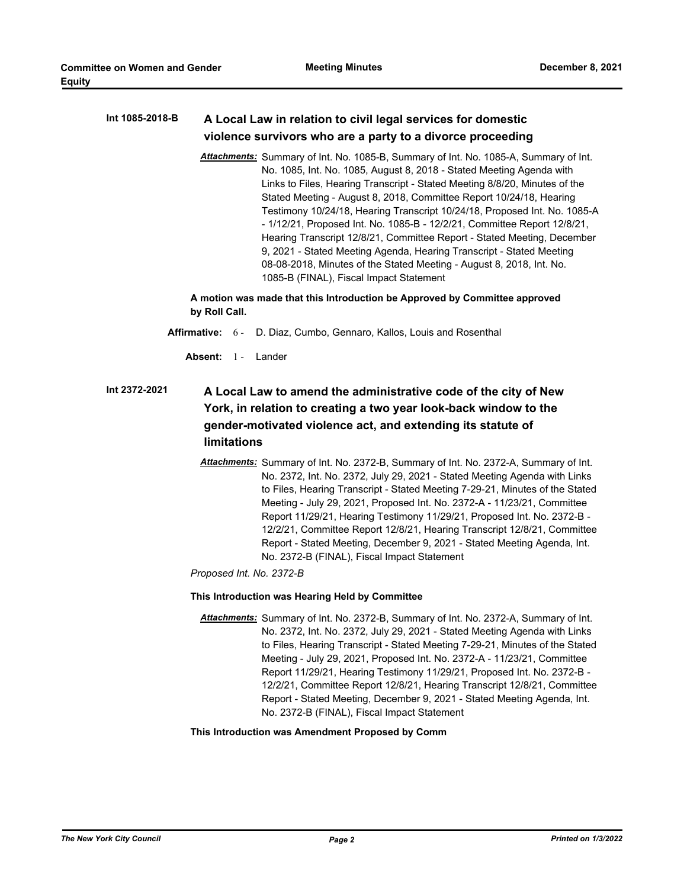**Equity**

#### **A Local Law in relation to civil legal services for domestic violence survivors who are a party to a divorce proceeding Int 1085-2018-B**

*Attachments:* Summary of Int. No. 1085-B, Summary of Int. No. 1085-A, Summary of Int. No. 1085, Int. No. 1085, August 8, 2018 - Stated Meeting Agenda with Links to Files, Hearing Transcript - Stated Meeting 8/8/20, Minutes of the Stated Meeting - August 8, 2018, Committee Report 10/24/18, Hearing Testimony 10/24/18, Hearing Transcript 10/24/18, Proposed Int. No. 1085-A - 1/12/21, Proposed Int. No. 1085-B - 12/2/21, Committee Report 12/8/21, Hearing Transcript 12/8/21, Committee Report - Stated Meeting, December 9, 2021 - Stated Meeting Agenda, Hearing Transcript - Stated Meeting 08-08-2018, Minutes of the Stated Meeting - August 8, 2018, Int. No. 1085-B (FINAL), Fiscal Impact Statement

**A motion was made that this Introduction be Approved by Committee approved by Roll Call.**

- **Affirmative:** 6 D. Diaz, Cumbo, Gennaro, Kallos, Louis and Rosenthal
	- **Absent:** 1 Lander

#### **A Local Law to amend the administrative code of the city of New York, in relation to creating a two year look-back window to the gender-motivated violence act, and extending its statute of limitations Int 2372-2021**

*Attachments:* Summary of Int. No. 2372-B, Summary of Int. No. 2372-A, Summary of Int. No. 2372, Int. No. 2372, July 29, 2021 - Stated Meeting Agenda with Links to Files, Hearing Transcript - Stated Meeting 7-29-21, Minutes of the Stated Meeting - July 29, 2021, Proposed Int. No. 2372-A - 11/23/21, Committee Report 11/29/21, Hearing Testimony 11/29/21, Proposed Int. No. 2372-B - 12/2/21, Committee Report 12/8/21, Hearing Transcript 12/8/21, Committee Report - Stated Meeting, December 9, 2021 - Stated Meeting Agenda, Int. No. 2372-B (FINAL), Fiscal Impact Statement

*Proposed Int. No. 2372-B*

#### **This Introduction was Hearing Held by Committee**

*Attachments:* Summary of Int. No. 2372-B, Summary of Int. No. 2372-A, Summary of Int. No. 2372, Int. No. 2372, July 29, 2021 - Stated Meeting Agenda with Links to Files, Hearing Transcript - Stated Meeting 7-29-21, Minutes of the Stated Meeting - July 29, 2021, Proposed Int. No. 2372-A - 11/23/21, Committee Report 11/29/21, Hearing Testimony 11/29/21, Proposed Int. No. 2372-B - 12/2/21, Committee Report 12/8/21, Hearing Transcript 12/8/21, Committee Report - Stated Meeting, December 9, 2021 - Stated Meeting Agenda, Int. No. 2372-B (FINAL), Fiscal Impact Statement

#### **This Introduction was Amendment Proposed by Comm**